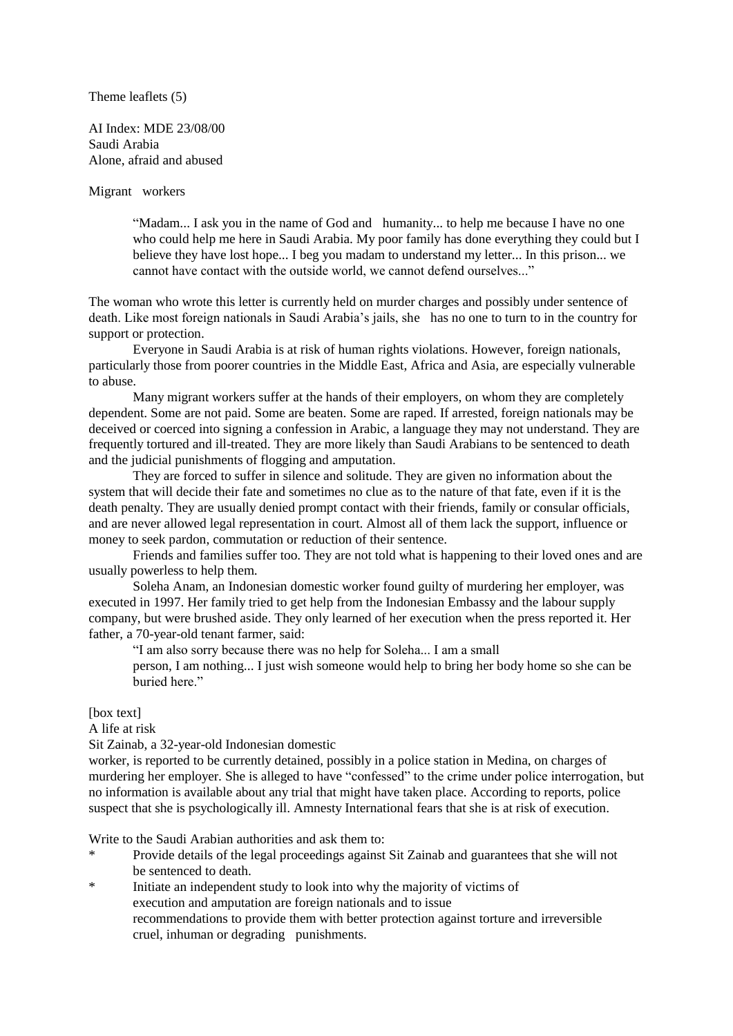Theme leaflets (5)

AI Index: MDE 23/08/00 Saudi Arabia Alone, afraid and abused

Migrant workers

"Madam... I ask you in the name of God and humanity... to help me because I have no one who could help me here in Saudi Arabia. My poor family has done everything they could but I believe they have lost hope... I beg you madam to understand my letter... In this prison... we cannot have contact with the outside world, we cannot defend ourselves..."

The woman who wrote this letter is currently held on murder charges and possibly under sentence of death. Like most foreign nationals in Saudi Arabia's jails, she has no one to turn to in the country for support or protection.

Everyone in Saudi Arabia is at risk of human rights violations. However, foreign nationals, particularly those from poorer countries in the Middle East, Africa and Asia, are especially vulnerable to abuse.

Many migrant workers suffer at the hands of their employers, on whom they are completely dependent. Some are not paid. Some are beaten. Some are raped. If arrested, foreign nationals may be deceived or coerced into signing a confession in Arabic, a language they may not understand. They are frequently tortured and ill-treated. They are more likely than Saudi Arabians to be sentenced to death and the judicial punishments of flogging and amputation.

They are forced to suffer in silence and solitude. They are given no information about the system that will decide their fate and sometimes no clue as to the nature of that fate, even if it is the death penalty. They are usually denied prompt contact with their friends, family or consular officials, and are never allowed legal representation in court. Almost all of them lack the support, influence or money to seek pardon, commutation or reduction of their sentence.

Friends and families suffer too. They are not told what is happening to their loved ones and are usually powerless to help them.

Soleha Anam, an Indonesian domestic worker found guilty of murdering her employer, was executed in 1997. Her family tried to get help from the Indonesian Embassy and the labour supply company, but were brushed aside. They only learned of her execution when the press reported it. Her father, a 70-year-old tenant farmer, said:

"I am also sorry because there was no help for Soleha... I am a small

person, I am nothing... I just wish someone would help to bring her body home so she can be buried here."

[box text]

A life at risk

Sit Zainab, a 32-year-old Indonesian domestic

worker, is reported to be currently detained, possibly in a police station in Medina, on charges of murdering her employer. She is alleged to have "confessed" to the crime under police interrogation, but no information is available about any trial that might have taken place. According to reports, police suspect that she is psychologically ill. Amnesty International fears that she is at risk of execution.

Write to the Saudi Arabian authorities and ask them to:

- Provide details of the legal proceedings against Sit Zainab and guarantees that she will not be sentenced to death.
- \* Initiate an independent study to look into why the majority of victims of execution and amputation are foreign nationals and to issue recommendations to provide them with better protection against torture and irreversible cruel, inhuman or degrading punishments.